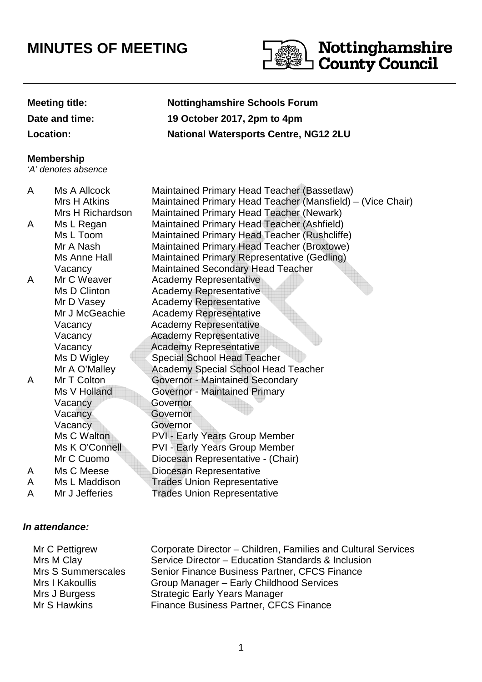# **MINUTES OF MEETING**



## **Meeting title: Nottinghamshire Schools Forum**

**Date and time: 19 October 2017, 2pm to 4pm**

**Location: National Watersports Centre, NG12 2LU**

#### **Membership**

'A' denotes absence

#### A Ms A Allcock Maintained Primary Head Teacher (Bassetlaw) Mrs H Atkins Maintained Primary Head Teacher (Mansfield) – (Vice Chair) Mrs H Richardson Maintained Primary Head Teacher (Newark) A Ms L Regan Maintained Primary Head Teacher (Ashfield) Ms L Toom Maintained Primary Head Teacher (Rushcliffe) Mr A Nash Maintained Primary Head Teacher (Broxtowe) Ms Anne Hall Maintained Primary Representative (Gedling) Vacancy Maintained Secondary Head Teacher A Mr C Weaver Academy Representative Ms D Clinton **Academy Representative** Mr D Vasey **Academy Representative** Mr J McGeachie Academy Representative Vacancy Academy Representative Vacancy Academy Representative Vacancy **Academy Representative** Ms D Wigley Special School Head Teacher Mr A O'Malley Academy Special School Head Teacher A Mr T Colton Governor - Maintained Secondary Ms V Holland **Governor - Maintained Primary** Vacancy **Governor**  Vacancy Governor Vacancy Governor Ms C Walton **PVI - Early Years Group Member** Ms K O'Connell PVI - Early Years Group Member Mr C Cuomo Diocesan Representative - (Chair) A Ms C Meese Diocesan Representative A Ms L Maddison Trades Union Representative A Mr J Jefferies Trades Union Representative

### **In attendance:**

Mr C Pettigrew Mrs M Clay<br>Mrs S Summerscales Corporate Director – Children, Families and Cultural Services Service Director – Education Standards & Inclusion Senior Finance Business Partner, CFCS Finance Mrs I Kakoullis Mrs J Burgess Group Manager – Early Childhood Services Strategic Early Years Manager Mr S Hawkins Finance Business Partner, CFCS Finance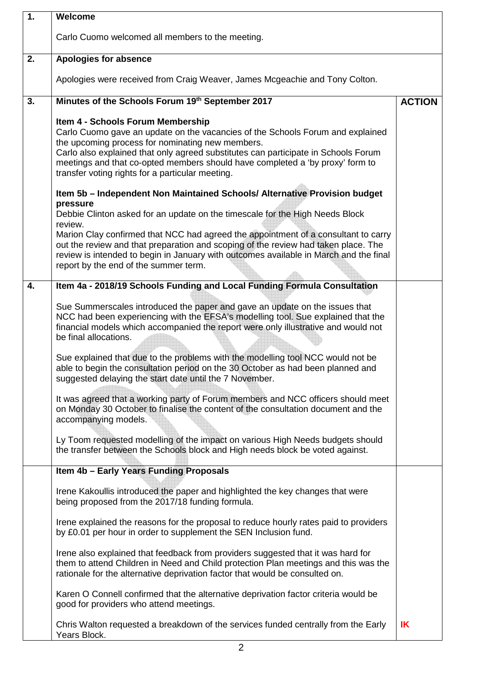| $\overline{1}$ . | Welcome                                                                                                                                                                                                                                                                                                                                                                                            |               |
|------------------|----------------------------------------------------------------------------------------------------------------------------------------------------------------------------------------------------------------------------------------------------------------------------------------------------------------------------------------------------------------------------------------------------|---------------|
|                  | Carlo Cuomo welcomed all members to the meeting.                                                                                                                                                                                                                                                                                                                                                   |               |
| 2.               | <b>Apologies for absence</b>                                                                                                                                                                                                                                                                                                                                                                       |               |
|                  | Apologies were received from Craig Weaver, James Mcgeachie and Tony Colton.                                                                                                                                                                                                                                                                                                                        |               |
| 3.               | Minutes of the Schools Forum 19th September 2017                                                                                                                                                                                                                                                                                                                                                   | <b>ACTION</b> |
|                  | Item 4 - Schools Forum Membership<br>Carlo Cuomo gave an update on the vacancies of the Schools Forum and explained<br>the upcoming process for nominating new members.<br>Carlo also explained that only agreed substitutes can participate in Schools Forum<br>meetings and that co-opted members should have completed a 'by proxy' form to<br>transfer voting rights for a particular meeting. |               |
|                  | Item 5b - Independent Non Maintained Schools/ Alternative Provision budget<br>pressure                                                                                                                                                                                                                                                                                                             |               |
|                  | Debbie Clinton asked for an update on the timescale for the High Needs Block<br>review.                                                                                                                                                                                                                                                                                                            |               |
|                  | Marion Clay confirmed that NCC had agreed the appointment of a consultant to carry<br>out the review and that preparation and scoping of the review had taken place. The<br>review is intended to begin in January with outcomes available in March and the final<br>report by the end of the summer term.                                                                                         |               |
| 4.               | Item 4a - 2018/19 Schools Funding and Local Funding Formula Consultation                                                                                                                                                                                                                                                                                                                           |               |
|                  | Sue Summerscales introduced the paper and gave an update on the issues that<br>NCC had been experiencing with the EFSA's modelling tool. Sue explained that the<br>financial models which accompanied the report were only illustrative and would not<br>be final allocations.                                                                                                                     |               |
|                  | Sue explained that due to the problems with the modelling tool NCC would not be<br>able to begin the consultation period on the 30 October as had been planned and<br>suggested delaying the start date until the 7 November.                                                                                                                                                                      |               |
|                  | It was agreed that a working party of Forum members and NCC officers should meet<br>on Monday 30 October to finalise the content of the consultation document and the<br>accompanying models.                                                                                                                                                                                                      |               |
|                  | Ly Toom requested modelling of the impact on various High Needs budgets should<br>the transfer between the Schools block and High needs block be voted against.                                                                                                                                                                                                                                    |               |
|                  | Item 4b - Early Years Funding Proposals                                                                                                                                                                                                                                                                                                                                                            |               |
|                  | Irene Kakoullis introduced the paper and highlighted the key changes that were<br>being proposed from the 2017/18 funding formula.                                                                                                                                                                                                                                                                 |               |
|                  | Irene explained the reasons for the proposal to reduce hourly rates paid to providers<br>by £0.01 per hour in order to supplement the SEN Inclusion fund.                                                                                                                                                                                                                                          |               |
|                  | Irene also explained that feedback from providers suggested that it was hard for<br>them to attend Children in Need and Child protection Plan meetings and this was the<br>rationale for the alternative deprivation factor that would be consulted on.                                                                                                                                            |               |
|                  | Karen O Connell confirmed that the alternative deprivation factor criteria would be<br>good for providers who attend meetings.                                                                                                                                                                                                                                                                     |               |
|                  | Chris Walton requested a breakdown of the services funded centrally from the Early<br>Years Block.                                                                                                                                                                                                                                                                                                 | IK            |